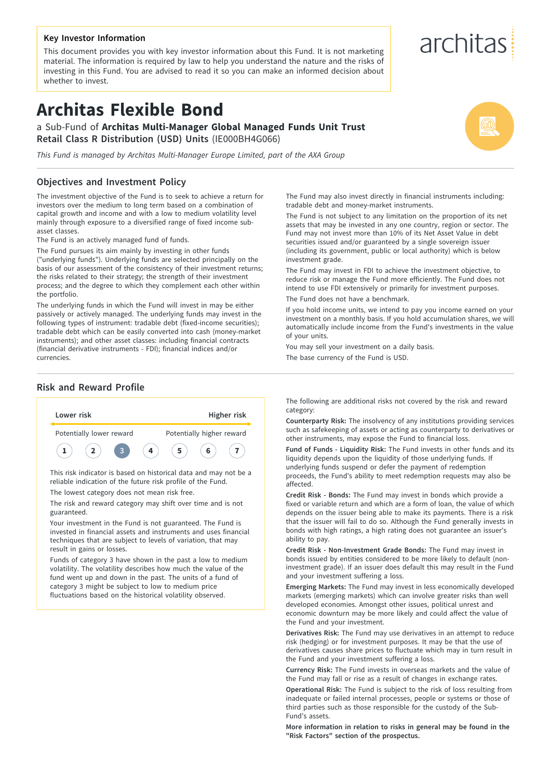#### **Key Investor Information**

This document provides you with key investor information about this Fund. It is not marketing material. The information is required by law to help you understand the nature and the risks of investing in this Fund. You are advised to read it so you can make an informed decision about whether to invest.

# **Architas Flexible Bond**

a Sub-Fund of **Architas Multi-Manager Global Managed Funds Unit Trust Retail Class R Distribution (USD) Units** (IE000BH4G066)

*This Fund is managed by Architas Multi-Manager Europe Limited, part of the AXA Group*

#### **Objectives and Investment Policy**

The investment objective of the Fund is to seek to achieve a return for investors over the medium to long term based on a combination of capital growth and income and with a low to medium volatility level mainly through exposure to a diversified range of fixed income subasset classes.

The Fund is an actively managed fund of funds.

The Fund pursues its aim mainly by investing in other funds ("underlying funds"). Underlying funds are selected principally on the basis of our assessment of the consistency of their investment returns; the risks related to their strategy; the strength of their investment process; and the degree to which they complement each other within the portfolio.

The underlying funds in which the Fund will invest in may be either passively or actively managed. The underlying funds may invest in the following types of instrument: tradable debt (fixed-income securities); tradable debt which can be easily converted into cash (money-market instruments); and other asset classes: including financial contracts (financial derivative instruments - FDI); financial indices and/or currencies.

#### **Risk and Reward Profile**



guaranteed. Your investment in the Fund is not guaranteed. The Fund is

invested in financial assets and instruments and uses financial techniques that are subject to levels of variation, that may result in gains or losses.

Funds of category 3 have shown in the past a low to medium volatility. The volatility describes how much the value of the fund went up and down in the past. The units of a fund of category 3 might be subject to low to medium price fluctuations based on the historical volatility observed.

The Fund may also invest directly in financial instruments including: tradable debt and money-market instruments.

The Fund is not subject to any limitation on the proportion of its net assets that may be invested in any one country, region or sector. The Fund may not invest more than 10% of its Net Asset Value in debt securities issued and/or guaranteed by a single sovereign issuer (including its government, public or local authority) which is below investment grade.

The Fund may invest in FDI to achieve the investment objective, to reduce risk or manage the Fund more efficiently. The Fund does not intend to use FDI extensively or primarily for investment purposes. The Fund does not have a benchmark.

If you hold income units, we intend to pay you income earned on your investment on a monthly basis. If you hold accumulation shares, we will automatically include income from the Fund's investments in the value of your units.

You may sell your investment on a daily basis.

The base currency of the Fund is USD.

The following are additional risks not covered by the risk and reward category:

**Counterparty Risk:** The insolvency of any institutions providing services such as safekeeping of assets or acting as counterparty to derivatives or other instruments, may expose the Fund to financial loss.

**Fund of Funds - Liquidity Risk:** The Fund invests in other funds and its liquidity depends upon the liquidity of those underlying funds. If underlying funds suspend or defer the payment of redemption proceeds, the Fund's ability to meet redemption requests may also be affected.

**Credit Risk - Bonds:** The Fund may invest in bonds which provide a fixed or variable return and which are a form of loan, the value of which depends on the issuer being able to make its payments. There is a risk that the issuer will fail to do so. Although the Fund generally invests in bonds with high ratings, a high rating does not guarantee an issuer's ability to pay.

**Credit Risk - Non-Investment Grade Bonds:** The Fund may invest in bonds issued by entities considered to be more likely to default (noninvestment grade). If an issuer does default this may result in the Fund and your investment suffering a loss.

**Emerging Markets:** The Fund may invest in less economically developed markets (emerging markets) which can involve greater risks than well developed economies. Amongst other issues, political unrest and economic downturn may be more likely and could affect the value of the Fund and your investment.

**Derivatives Risk:** The Fund may use derivatives in an attempt to reduce risk (hedging) or for investment purposes. It may be that the use of derivatives causes share prices to fluctuate which may in turn result in the Fund and your investment suffering a loss.

**Currency Risk:** The Fund invests in overseas markets and the value of the Fund may fall or rise as a result of changes in exchange rates.

**Operational Risk:** The Fund is subject to the risk of loss resulting from inadequate or failed internal processes, people or systems or those of third parties such as those responsible for the custody of the Sub-Fund's assets.

**More information in relation to risks in general may be found in the "Risk Factors" section of the prospectus.**

# architas